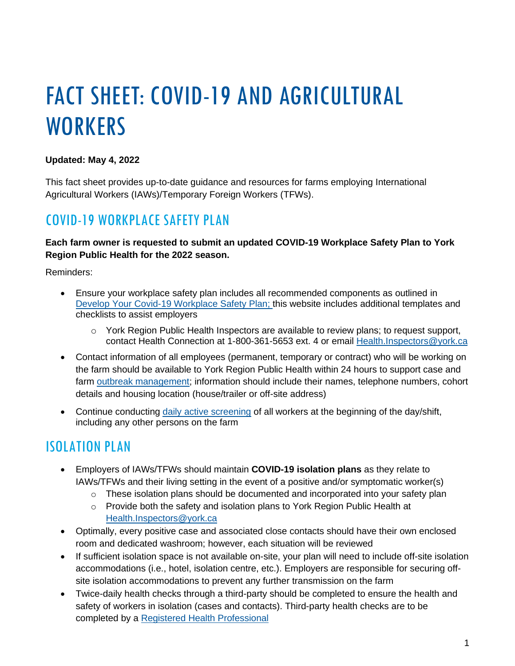# FACT SHEET: COVID-19 AND AGRICULTURAL **WORKERS**

#### **Updated: May 4, 2022**

This fact sheet provides up-to-date guidance and resources for farms employing International Agricultural Workers (IAWs)/Temporary Foreign Workers (TFWs).

### COVID-19 WORKPLACE SAFETY PLAN

**Each farm owner is requested to submit an updated COVID-19 Workplace Safety Plan to York Region Public Health for the 2022 season.** 

Reminders:

- Ensure your workplace safety plan includes all recommended components as outlined in [Develop Your Covid-19 Workplace Safety Plan;](https://www.ontario.ca/page/guide-developing-your-covid-19-workplace-safety-plan) this website includes additional templates and checklists to assist employers
	- $\circ$  York Region Public Health Inspectors are available to review plans; to request support, contact Health Connection at 1-800-361-5653 ext. 4 or email Health.Inspectors@york.ca
- Contact information of all employees (permanent, temporary or contract) who will be working on the farm should be available to York Region Public Health within 24 hours to support case and farm [outbreak management;](http://www.health.gov.on.ca/en/pro/programs/publichealth/coronavirus/docs/COVID-19_Farm_Outbreak_guidance.pdf) information should include their names, telephone numbers, cohort details and housing location (house/trailer or off-site address)
- Continue conducting [daily active screening](https://covid-19.ontario.ca/screening/worker/) of all workers at the beginning of the day/shift, including any other persons on the farm

## ISOLATION PLAN

- Employers of IAWs/TFWs should maintain **COVID-19 isolation plans** as they relate to IAWs/TFWs and their living setting in the event of a positive and/or symptomatic worker(s)
	- $\circ$  These isolation plans should be documented and incorporated into your safety plan
	- $\circ$  Provide both the safety and isolation plans to York Region Public Health at [Health.Inspectors@york.ca](mailto:Health.Inspectors@york.ca)
- Optimally, every positive case and associated close contacts should have their own enclosed room and dedicated washroom; however, each situation will be reviewed
- If sufficient isolation space is not available on-site, your plan will need to include off-site isolation accommodations (i.e., hotel, isolation centre, etc.). Employers are responsible for securing offsite isolation accommodations to prevent any further transmission on the farm
- Twice-daily health checks through a third-party should be completed to ensure the health and safety of workers in isolation (cases and contacts). Third-party health checks are to be completed by a [Registered Health Professional](https://www.health.gov.on.ca/en/pro/programs/hhrsd/about/regulated_professions.aspx)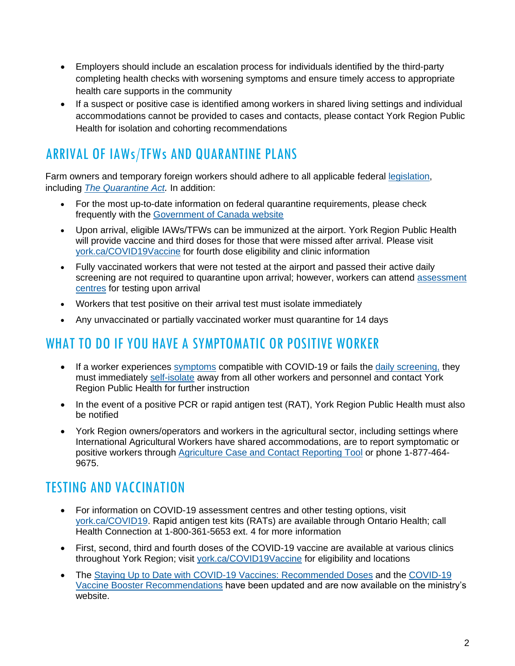- Employers should include an escalation process for individuals identified by the third-party completing health checks with worsening symptoms and ensure timely access to appropriate health care supports in the community
- If a suspect or positive case is identified among workers in shared living settings and individual accommodations cannot be provided to cases and contacts, please contact York Region Public Health for isolation and cohorting recommendations

# ARRIVAL OF IAWs/TFWs AND QUARANTINE PLANS

Farm owners and temporary foreign workers should adhere to all applicable federal [legislation,](https://travel.gc.ca/travel-covid/travel-restrictions/isolation) including *[The Quarantine Act](https://laws-lois.justice.gc.ca/eng/acts/q-1.1/FullText.html).* In addition:

- For the most up-to-date information on federal quarantine requirements, please check frequently with the [Government of Canada website](https://www.canada.ca/en/public-health/services/publications/diseases-conditions/2019-novel-coronavirus-information-sheet.html)
- Upon arrival, eligible IAWs/TFWs can be immunized at the airport. York Region Public Health will provide vaccine and third doses for those that were missed after arrival. Please visit [york.ca/COVID19Vaccine](http://www.york.ca/COVID19Vaccine) for fourth dose eligibility and clinic information
- Fully vaccinated workers that were not tested at the airport and passed their active daily screening are not required to quarantine upon arrival; however, workers can attend assessment [centres](https://covid-19.ontario.ca/assessment-centre-locations) for testing upon arrival
- Workers that test positive on their arrival test must isolate immediately
- Any unvaccinated or partially vaccinated worker must quarantine for 14 days

### WHAT TO DO IF YOU HAVE A SYMPTOMATIC OR POSITIVE WORKER

- If a worker experiences [symptoms](https://www.york.ca/wps/portal/yorkhome/health/yr/covid-19/symptomstransmissiontreatmentandtesting/!ut/p/z1/tZJdU-IwGIV_ixdcdvImLSRcxi5LW6XgB1-9YWIbIS5JsY24_PsNjs7sjaij6UU66Zyct-fJQQVaoMKIvVoLq2ojtm6_LHqrlA_TJLmAbByxGDiMeUYog0Efo_mLAN55OKDiM-dPCIrT9jNUoGJXqgot7ysqMAgIaJeRIJJhFfRLCQFmAtgdBSnK6Kgujd3ZDVoemlVZGyuN7cChbv64TWuVfXr5sKm1dKsUW7vpQFnvVRXgfgfag97ZWre2EabVqm0dJ9tIYbU7JkxlpfMwa5R9FNyRJc0oHq3d7wu7CZS5r9HibRBafHaQ81EPj48Fd8GOaf5atPCabH5k-H-24Q2LIJ1llM_wGKI0fBUQEvUSHEMGyZhB-ptOur9YguGCvApOXOvS1YK-i--aoPleyWc0NXWjXU1vvtiC5G0CZTFP-BAmcDulcDWgEetdjiaX1_ibEz4I4Nk-9GpPwa898Wv_M3CyFGLMj_UPByFwksbsPMxYnvtln_tln_tln_vt_ey7cHZ6OtUs7G4fDiGoiY7v2GgQdtd6dfr1zM_O_gHoL_--/dz/d5/L2dBISEvZ0FBIS9nQSEh/#.YE-57_lKhPY) compatible with COVID-19 or fails the [daily screening,](https://covid-19.ontario.ca/screening/worker/) they must immediately [self-isolate](https://www.york.ca/wps/wcm/connect/yorkpublic/71aac344-7a1f-49c5-a85e-e04db6f11b48/Web_COVID-19_Self-Isolation_Printable_.pdf?MOD=AJPERES&CVID=nrfx7gU) away from all other workers and personnel and contact York Region Public Health for further instruction
- In the event of a positive PCR or rapid antigen test (RAT), York Region Public Health must also be notified
- York Region owners/operators and workers in the agricultural sector, including settings where International Agricultural Workers have shared accommodations, are to report symptomatic or positive workers through [Agriculture Case and Contact Reporting Tool](https://yorkforms.york.ca/wps/portal/Home/Farm-External-Reporting-Form/!ut/p/z1/04_Sj9CPykssy0xPLMnMz0vMAfIjo8zijSxdTAyd3A0C3L2DzAwCw5w9AoJNTDwtPUz0w8EKDFCAo4FTkJGTsYGBu7-RfhTp-pFNIk4_HgVR-I0P14_CogTVB4TMKMgNDY0wyHQEAFYoH8s!/dz/d5/L2dBISEvZ0FBIS9nQSEh/) or phone 1-877-464- 9675.

## TESTING AND VACCINATION

- For information on COVID-19 assessment centres and other testing options, visit [york.ca/COVID19.](http://www.york.ca/COVID19) Rapid antigen test kits (RATs) are available through Ontario Health; call Health Connection at 1-800-361-5653 ext. 4 for more information
- First, second, third and fourth doses of the COVID-19 vaccine are available at various clinics throughout [York Region;](https://www.york.ca/wps/portal/yorkhome/health/yr/covid-19/covid19vaccinationclinics/04covid19vaccinationclinics/!ut/p/z1/jY_PCsIwDIefxQeQpLVu3bHOP21VJog6e5FSUQuzE5UdfHrH2MWD05wS8iU_PjCQgwm28mf79GWwRT3vTXRQYqaknKPOGE9RYCY0jTlOEgK7BsAvJRDMP_cdgOl-r38F1Ab0vkyXZzA3-7z0fTiVkLuy8sc-SdqOJJV1zodG2xU-ePeAHNn35Q7MZ_JszRmqrY7FlmTI1KAFKGWRJClqlBlHNY1XwzGXBOe0BTrkbtdN_lqMEuVF7w08xRCU/dz/d5/L2dBISEvZ0FBIS9nQSEh/#.YflkVvnMKpk) visit [york.ca/COVID19Vaccine](http://www.york.ca/COVID19Vaccine) for eligibility and locations
- The [Staying Up to Date with COVID-19 Vaccines: Recommended Doses](https://www.health.gov.on.ca/en/pro/programs/publichealth/coronavirus/docs/vaccine/COVID_19_vaccine_up_to_date.pdf) and the [COVID-19](https://www.health.gov.on.ca/en/pro/programs/publichealth/coronavirus/docs/vaccine/COVID-19_vaccine_third_dose_recommendations.pdf)  [Vaccine Booster Recommendations](https://www.health.gov.on.ca/en/pro/programs/publichealth/coronavirus/docs/vaccine/COVID-19_vaccine_third_dose_recommendations.pdf) have been updated and are now available on the ministry's website.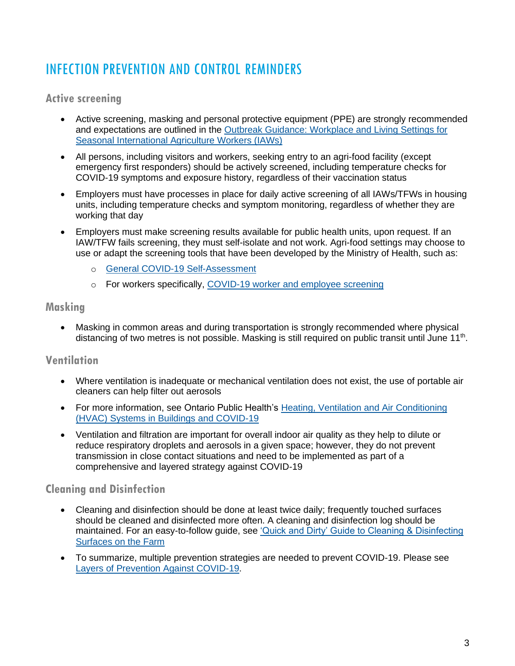# INFECTION PREVENTION AND CONTROL REMINDERS

### **Active screening**

- Active screening, masking and personal protective equipment (PPE) are strongly recommended and expectations are outlined in the [Outbreak Guidance: Workplace and Living Settings for](https://www.health.gov.on.ca/en/pro/programs/publichealth/coronavirus/docs/COVID-19_Farm_Outbreak_guidance.pdf)  [Seasonal International Agriculture Workers \(IAWs\)](https://www.health.gov.on.ca/en/pro/programs/publichealth/coronavirus/docs/COVID-19_Farm_Outbreak_guidance.pdf)
- All persons, including visitors and workers, seeking entry to an agri-food facility (except emergency first responders) should be actively screened, including temperature checks for COVID-19 symptoms and exposure history, regardless of their vaccination status
- Employers must have processes in place for daily active screening of all IAWs/TFWs in housing units, including temperature checks and symptom monitoring, regardless of whether they are working that day
- Employers must make screening results available for public health units, upon request. If an IAW/TFW fails screening, they must self-isolate and not work. Agri-food settings may choose to use or adapt the screening tools that have been developed by the Ministry of Health, such as:
	- o [General COVID-19 Self-Assessment](https://covid-19.ontario.ca/self-assessment/)
	- o For workers specifically, [COVID-19 worker and employee screening](https://covid-19.ontario.ca/screening/worker/)

#### **Masking**

• Masking in common areas and during transportation is strongly recommended where physical distancing of two metres is not possible. Masking is still required on public transit until June 11<sup>th</sup>.

### **Ventilation**

- Where ventilation is inadequate or mechanical ventilation does not exist, the use of portable air cleaners can help filter out aerosols
- For more information, see Ontario Public Health's Heating, Ventilation and Air Conditioning [\(HVAC\) Systems in Buildings and COVID-19](https://www.publichealthontario.ca/-/media/documents/ncov/ipac/2020/09/covid-19-hvac-systems-in-buildings.pdf?la=en)
- Ventilation and filtration are important for overall indoor air quality as they help to dilute or reduce respiratory droplets and aerosols in a given space; however, they do not prevent transmission in close contact situations and need to be implemented as part of a comprehensive and layered strategy against COVID-19

### **Cleaning and Disinfection**

- Cleaning and disinfection should be done at least twice daily; frequently touched surfaces should be cleaned and disinfected more often. A cleaning and disinfection log should be maintained. For an easy-to-follow guide, see 'Quick and Dirty' Guide to Cleaning & Disinfecting [Surfaces on the Farm](https://www.nycamh.org/media/photos/0521/5_clean_disinfect_wip_no_color.jpg)
- To summarize, multiple prevention strategies are needed to prevent COVID-19. Please see [Layers of Prevention Against COVID-19.](https://www.publichealthontario.ca/-/media/documents/ncov/factsheet/2021/06/lp/fact-sheet-covid-19-preventive-layers.pdf?la=en&sc_lang=en)